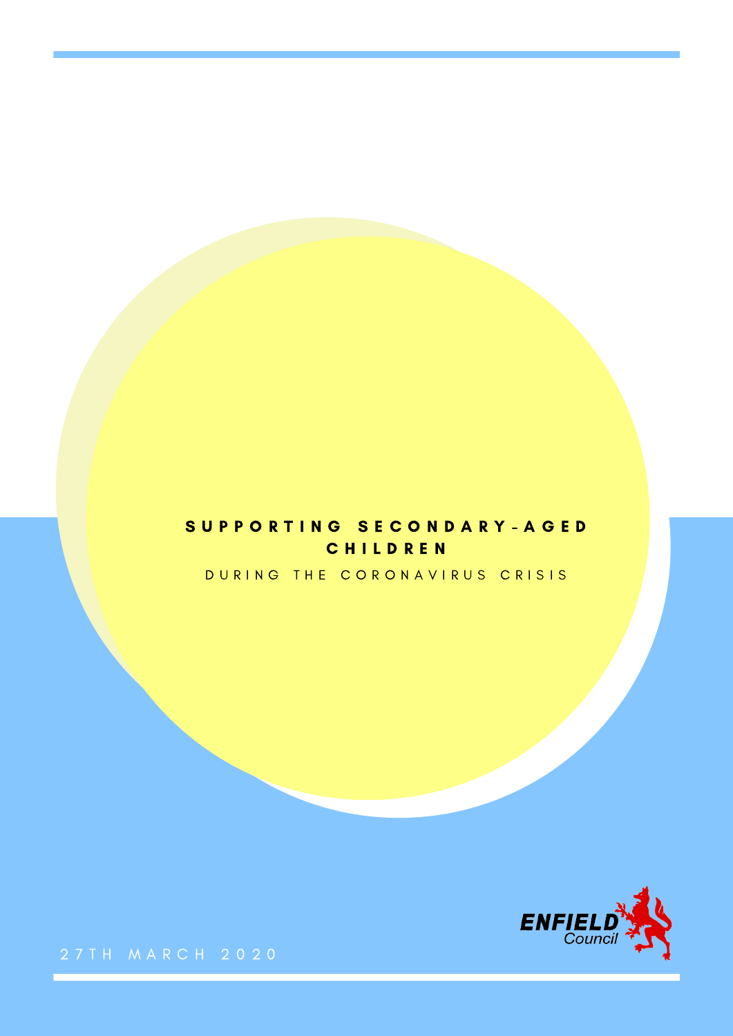## SUPPORTING SECONDARY-AGED C H I L D R E N

DURING THE CORONAVIRUS CRISIS

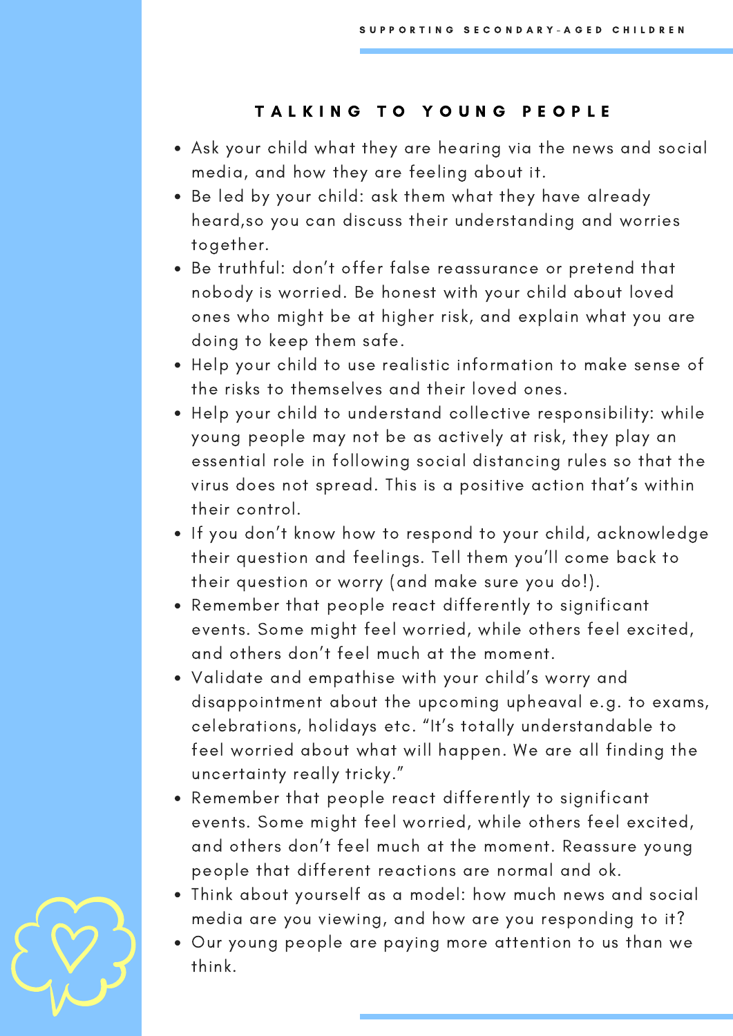## TALKING TO YOUNG PEOPLE

- Ask your child what they are hearing via the news and social media, and how they are feeling about it.
- Be led by your child: ask them what they have already heard,so you can discuss their understanding and worries together.
- Be truthful: don't offer false reassurance or pretend that nobody is worried. Be honest with your child about loved ones who might be at higher risk, and explain what you are doing to keep them safe.
- Help your child to use realistic information to make sense of the risks to themselves and their loved ones.
- Help your child to understand collective responsibility: while young people may not be as actively at risk, they play an essential role in following social distancing rules so that the virus does not spread. This is a positive action that's within their control.
- If you don't know how to respond to your child, acknowledge their question and feelings. Tell them you'll come back to their question or worry (and make sure you do!).
- Remember that people react differently to significant events. Some might feel worried, while others feel excited, and others don't feel much at the moment.
- Validate and empathise with your child's worry and disappointment about the upcoming upheaval e.g. to exams, celebrations, holidays etc. "It's totally understandable to feel worried about what will happen. We are all finding the uncertainty really tricky."
- Remember that people react differently to significant events. Some might feel worried, while others feel excited, and others don't feel much at the moment. Reassure young people that different reactions are normal and ok.
- Think about yourself as a model: how much news and social media are you viewing, and how are you responding to it?
- Our young people are paying more attention to us than we think.

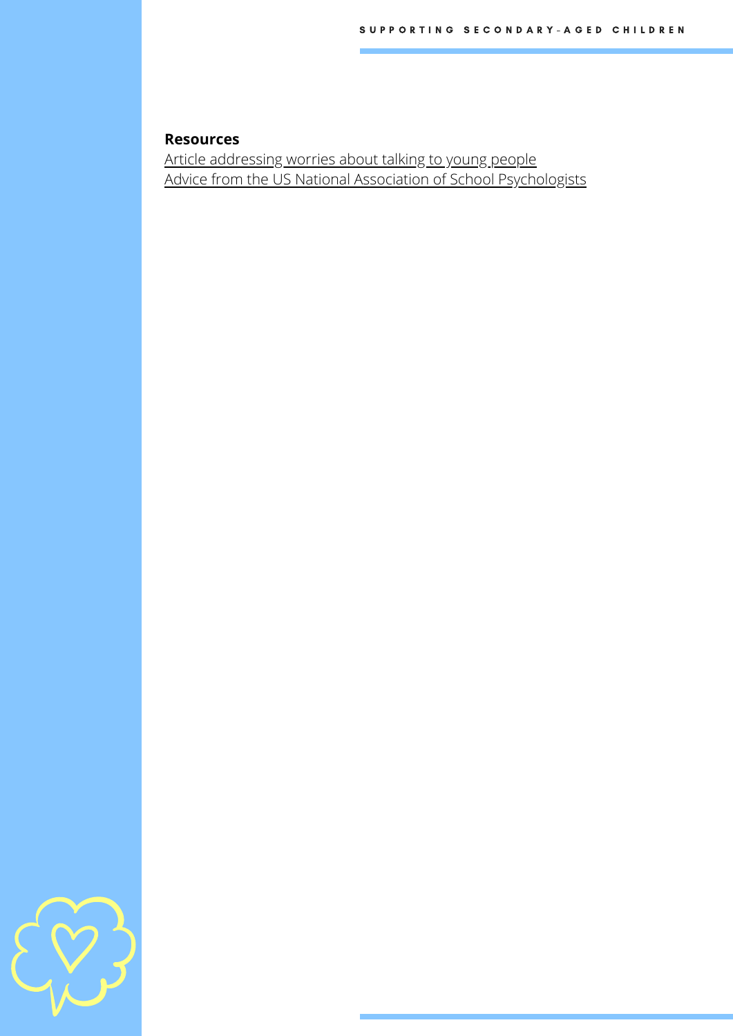#### **Resources**

Article [addressing](http://theconversation.com/coronavirus-qandas-answers-to-7-questions-your-kids-may-have-about-the-pandemic-133576) worries about talking to young people Advice from the US National Association of School [Psychologists](https://www.nasponline.org/resources-and-publications/resources-and-podcasts/school-climate-safety-and-crisis/health-crisis-resources/talking-to-children-about-covid-19-(coronavirus)-a-parent-resource)

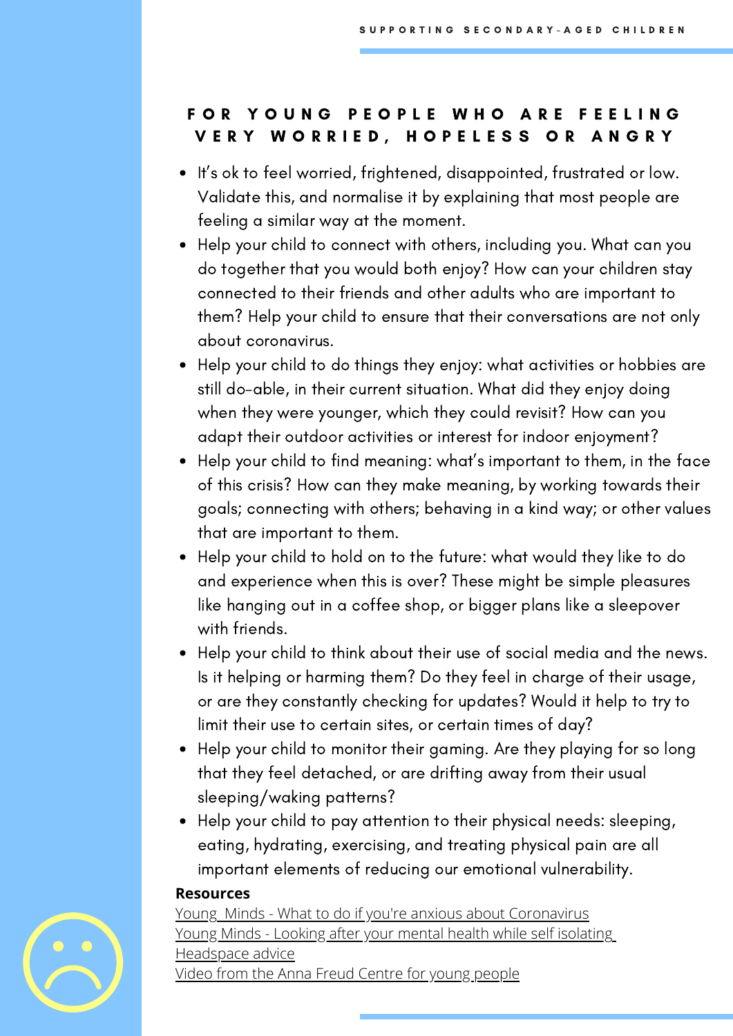# FOR YOUNG PEOPLE WHO ARE FEELING VERY WORRIED, HOPELESS OR ANGRY

- It's ok to feel worried, frightened, disappointed, frustrated or low. Validate this, and normalise it by explaining that most people are feeling a similar way at the moment.
- Help your child to connect with others, including you. What can you do together that you would both enjoy? How can your children stay connected to their friends and other adults who are important to them? Help your child to ensure that their conversations are not only about coronavirus.
- Help your child to do things they enjoy: what activities or hobbies are still do-able, in their current situation. What did they enjoy doing when they were younger, which they could revisit? How can you adapt their outdoor activities or interest for indoor enjoyment?
- Help your child to find meaning: what's important to them, in the face of this crisis? How can they make meaning, by working towards their goals; connecting with others; behaving in a kind way; or other values that are important to them.
- Help your child to hold on to the future: what would they like to do and experience when this is over? These might be simple pleasures like hanging out in a coffee shop, or bigger plans like a sleepover with friends.
- Help your child to think about their use of social media and the news. Is it helping or harming them? Do they feel in charge of their usage, or are they constantly checking for updates? Would it help to try to limit their use to certain sites, or certain times of day?
- Help your child to monitor their gaming. Are they playing for so long that they feel detached, or are drifting away from their usual sleeping/waking patterns?
- Help your child to pay attention to their physical needs: sleeping, eating, hydrating, exercising, and treating physical pain are all important elements of reducing our emotional vulnerability.

#### **Resources**

[Young](https://youngminds.org.uk/blog/what-to-do-if-you-re-anxious-about-coronavirus/) Minds - What to do if you're anxious about [Coronavirus](https://youngminds.org.uk/blog/what-to-do-if-you-re-anxious-about-coronavirus/) Young Minds - Looking after your mental health while self [isolating](https://youngminds.org.uk/blog/looking-after-your-mental-health-while-self-isolating/) [Headspace](https://www.headspace.org.au/young-people/how-to-cope-with-stress-related-to-covid-19/) advice Video from the Anna Freud Centre for young [people](https://www.youtube.com/watch?v=ZnANLAcpRZ4&feature=youtu.be)

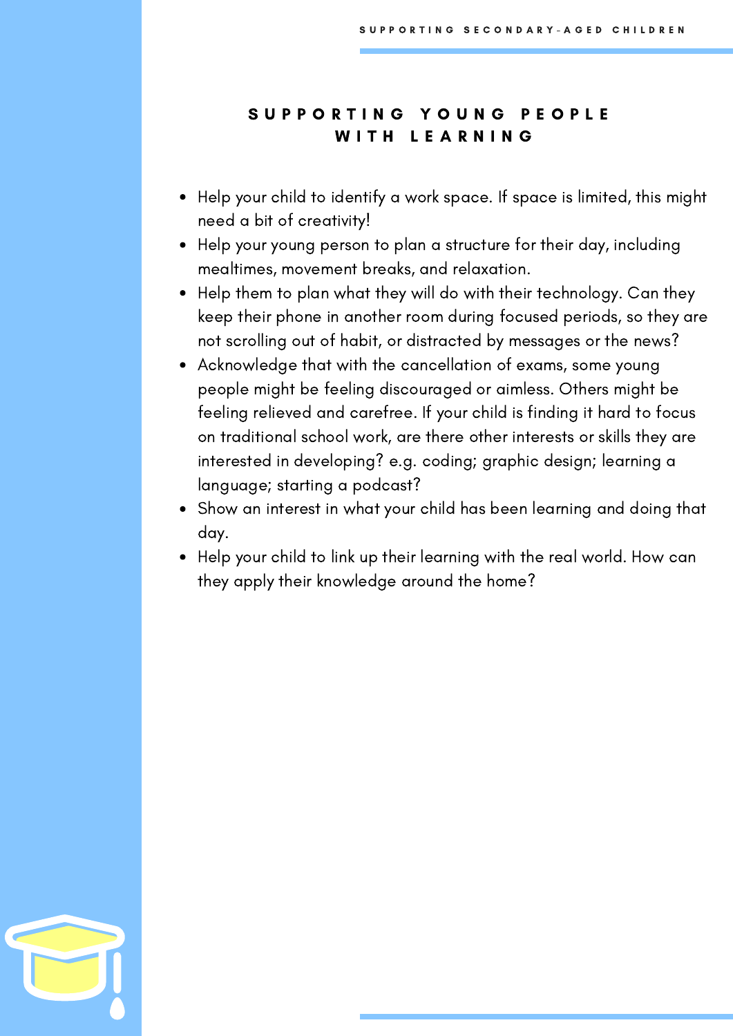## SUPPORTING YOUNG PEOPLE WITH LEARNING

- Help your child to identify a work space. If space is limited, this might need a bit of creativity!
- Help your young person to plan a structure for their day, including mealtimes, movement breaks, and relaxation.
- Help them to plan what they will do with their technology. Can they keep their phone in another room during focused periods, so they are not scrolling out of habit, or distracted by messages or the news?
- Acknowledge that with the cancellation of exams, some young people might be feeling discouraged or aimless. Others might be feeling relieved and carefree. If your child is finding it hard to focus on traditional school work, are there other interests or skills they are interested in developing? e.g. coding; graphic design; learning a language; starting a podcast?
- Show an interest in what your child has been learning and doing that day.
- Help your child to link up their learning with the real world. How can they apply their knowledge around the home?

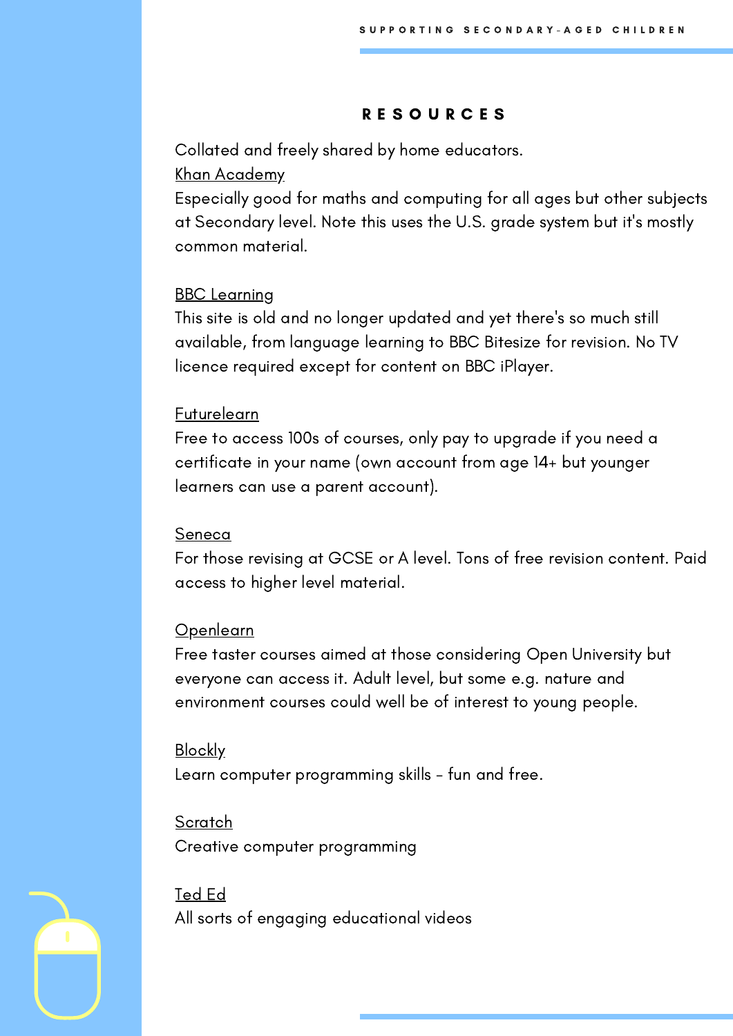#### R E S O U R C E S

Collated and freely shared by home educators.

#### Khan [Academy](https://www.khanacademy.org/)

Especially good for maths and computing for all ages but other subjects at Secondary level. Note this uses the U.S. grade system but it's mostly common material.

### **BBC** [Learning](http://www.bbc.co.uk/learning/coursesearch/)

This site is old and no longer updated and yet there's so much still available, from language learning to BBC Bitesize for revision. No TV licence required except for content on BBC iPlayer.

#### [Futurelearn](https://www.futurelearn.com/)

Free to access 100s of courses, only pay to upgrade if you need a certificate in your name (own account from age 14+ but younger learners can use a parent account).

#### [Seneca](https://www.senecalearning.com/)

For those revising at GCSE or A level. Tons of free revision content. Paid access to higher level material.

#### [Openlearn](https://www.open.edu/openlearn/)

Free taster courses aimed at those considering Open University but everyone can access it. Adult level, but some e.g. nature and environment courses could well be of interest to young people.

#### **[Blockly](https://blockly.games/)**

Learn computer programming skills - fun and free.

**[Scratch](https://scratch.mit.edu/explore/projects/games/)** Creative computer programming

[Ted](https://ed.ted.com/) Ed All sorts of engaging educational videos